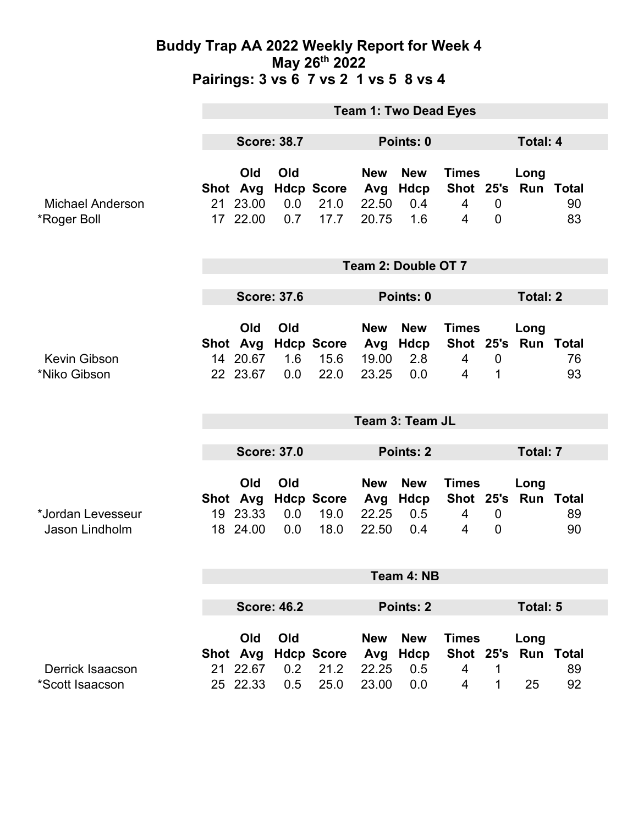|                                        | <b>Team 1: Two Dead Eyes</b> |                                         |                   |                                   |                                     |                                            |                                                               |                                 |                                |          |  |
|----------------------------------------|------------------------------|-----------------------------------------|-------------------|-----------------------------------|-------------------------------------|--------------------------------------------|---------------------------------------------------------------|---------------------------------|--------------------------------|----------|--|
|                                        | <b>Score: 38.7</b>           |                                         |                   |                                   | Points: 0                           |                                            |                                                               |                                 | <b>Total: 4</b>                |          |  |
| <b>Michael Anderson</b><br>*Roger Boll |                              | Old<br>Shot Avg<br>21 23.00<br>17 22.00 | Old<br>0.0<br>0.7 | <b>Hdcp Score</b><br>21.0<br>17.7 | <b>New</b><br>Avg<br>22.50<br>20.75 | <b>New</b><br>Hdcp<br>$0.4^{\circ}$<br>1.6 | <b>Times</b><br>Shot 25's<br>$\overline{4}$<br>$\overline{4}$ | $\mathbf 0$<br>$\mathbf 0$      | Long<br><b>Run Total</b>       | 90<br>83 |  |
|                                        | Team 2: Double OT 7          |                                         |                   |                                   |                                     |                                            |                                                               |                                 |                                |          |  |
|                                        | <b>Score: 37.6</b>           |                                         |                   | Points: 0                         |                                     |                                            |                                                               | <b>Total: 2</b>                 |                                |          |  |
| Kevin Gibson<br>*Niko Gibson           |                              | Old<br>Shot Avg<br>14 20.67<br>22 23.67 | Old<br>1.6<br>0.0 | <b>Hdcp Score</b><br>15.6<br>22.0 | <b>New</b><br>Avg<br>19.00<br>23.25 | <b>New</b><br><b>Hdcp</b><br>2.8<br>0.0    | <b>Times</b><br>$\overline{4}$<br>4                           | $\mathbf 0$<br>1                | Long<br>Shot 25's Run Total    | 76<br>93 |  |
|                                        | Team 3: Team JL              |                                         |                   |                                   |                                     |                                            |                                                               |                                 |                                |          |  |
|                                        |                              | <b>Score: 37.0</b>                      |                   |                                   | Points: 2                           |                                            |                                                               | Total: 7                        |                                |          |  |
| *Jordan Levesseur<br>Jason Lindholm    |                              | Old<br>Shot Avg<br>19 23.33<br>18 24.00 | Old<br>0.0<br>0.0 | <b>Hdcp Score</b><br>19.0<br>18.0 | <b>New</b><br>Avg<br>22.25<br>22.50 | <b>New</b><br>Hdcp<br>0.5<br>0.4           | <b>Times</b><br>Shot 25's Run Total<br>4<br>$\overline{4}$    | $\boldsymbol{0}$<br>$\mathbf 0$ | Long                           | 89<br>90 |  |
|                                        | Team 4: NB                   |                                         |                   |                                   |                                     |                                            |                                                               |                                 |                                |          |  |
|                                        | <b>Score: 46.2</b>           |                                         |                   |                                   | Points: 2                           |                                            |                                                               | <b>Total: 5</b>                 |                                |          |  |
| Derrick Isaacson<br>*Scott Isaacson    |                              | Old<br>Shot Avg<br>21 22.67<br>25 22.33 | Old<br>0.2<br>0.5 | <b>Hdcp Score</b><br>21.2<br>25.0 | <b>New</b><br>Avg<br>22.25<br>23.00 | <b>New</b><br><b>Hdcp</b><br>0.5<br>0.0    | <b>Times</b><br>Shot 25's<br>4<br>4                           | 1<br>1                          | Long<br><b>Run Total</b><br>25 | 89<br>92 |  |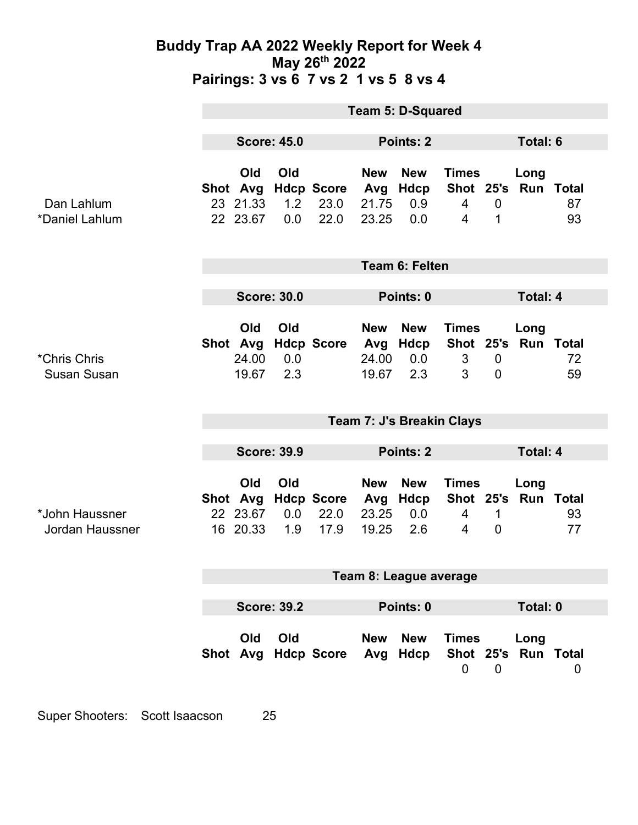|                                    | <b>Team 5: D-Squared</b>                           |                                         |                   |                                   |                                     |                                  |                                     |                               |                             |          |
|------------------------------------|----------------------------------------------------|-----------------------------------------|-------------------|-----------------------------------|-------------------------------------|----------------------------------|-------------------------------------|-------------------------------|-----------------------------|----------|
|                                    | <b>Score: 45.0</b>                                 |                                         |                   | Points: 2                         |                                     |                                  |                                     | <b>Total: 6</b>               |                             |          |
| Dan Lahlum<br>*Daniel Lahlum       |                                                    | Old<br>Shot Avg<br>23 21.33<br>22 23.67 | Old<br>1.2<br>0.0 | <b>Hdcp Score</b><br>23.0<br>22.0 | <b>New</b><br>Avg<br>21.75<br>23.25 | <b>New</b><br>Hdcp<br>0.9<br>0.0 | <b>Times</b><br>$\overline{4}$<br>4 | $\overline{0}$<br>1           | Long<br>Shot 25's Run Total | 87<br>93 |
|                                    | <b>Team 6: Felten</b>                              |                                         |                   |                                   |                                     |                                  |                                     |                               |                             |          |
|                                    | <b>Score: 30.0</b>                                 |                                         |                   |                                   | Points: 0                           |                                  |                                     | <b>Total: 4</b>               |                             |          |
| *Chris Chris<br><b>Susan Susan</b> |                                                    | Old<br>Shot Avg<br>24.00<br>19.67       | Old<br>0.0<br>2.3 | <b>Hdcp Score</b>                 | <b>New</b><br>Avg<br>24.00<br>19.67 | <b>New</b><br>Hdcp<br>0.0<br>2.3 | <b>Times</b><br>3<br>3              | $\mathbf 0$<br>$\overline{0}$ | Long<br>Shot 25's Run Total | 72<br>59 |
|                                    | Team 7: J's Breakin Clays                          |                                         |                   |                                   |                                     |                                  |                                     |                               |                             |          |
|                                    | <b>Score: 39.9</b>                                 |                                         |                   |                                   | <b>Points: 2</b>                    |                                  |                                     |                               | <b>Total: 4</b>             |          |
| *John Haussner<br>Jordan Haussner  |                                                    | Old<br>Shot Avg<br>22 23.67<br>16 20.33 | Old<br>0.0<br>1.9 | <b>Hdcp Score</b><br>22.0<br>17.9 | <b>New</b><br>Avg<br>23.25<br>19.25 | <b>New</b><br>Hdcp<br>0.0<br>2.6 | <b>Times</b><br>4<br>4              | 1<br>$\overline{0}$           | Long<br>Shot 25's Run Total | 93<br>77 |
|                                    | Team 8: League average                             |                                         |                   |                                   |                                     |                                  |                                     |                               |                             |          |
|                                    | <b>Score: 39.2</b><br>Points: 0<br><b>Total: 0</b> |                                         |                   |                                   |                                     |                                  |                                     |                               |                             |          |
|                                    |                                                    | Old                                     | Old               | Shot Avg Hdcp Score Avg Hdcp      | <b>New</b>                          | <b>New</b>                       | <b>Times</b><br>$\mathbf 0$         | $\overline{\mathbf{0}}$       | Long<br>Shot 25's Run Total | 0        |

Super Shooters: Scott Isaacson 25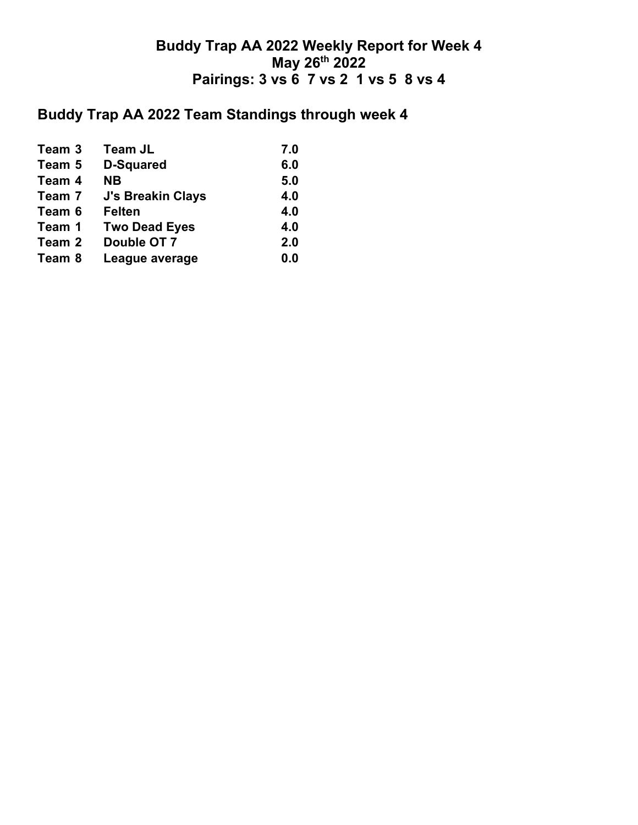# **Buddy Trap AA 2022 Team Standings through week 4**

| Team 3 | <b>Team JL</b>           | 7.0 |
|--------|--------------------------|-----|
| Team 5 | <b>D-Squared</b>         | 6.0 |
| Team 4 | <b>NB</b>                | 5.0 |
| Team 7 | <b>J's Breakin Clays</b> | 4.0 |
| Team 6 | <b>Felten</b>            | 4.0 |
| Team 1 | <b>Two Dead Eyes</b>     | 4.0 |
| Team 2 | Double OT 7              | 2.0 |
| Team 8 | League average           | 0.0 |
|        |                          |     |